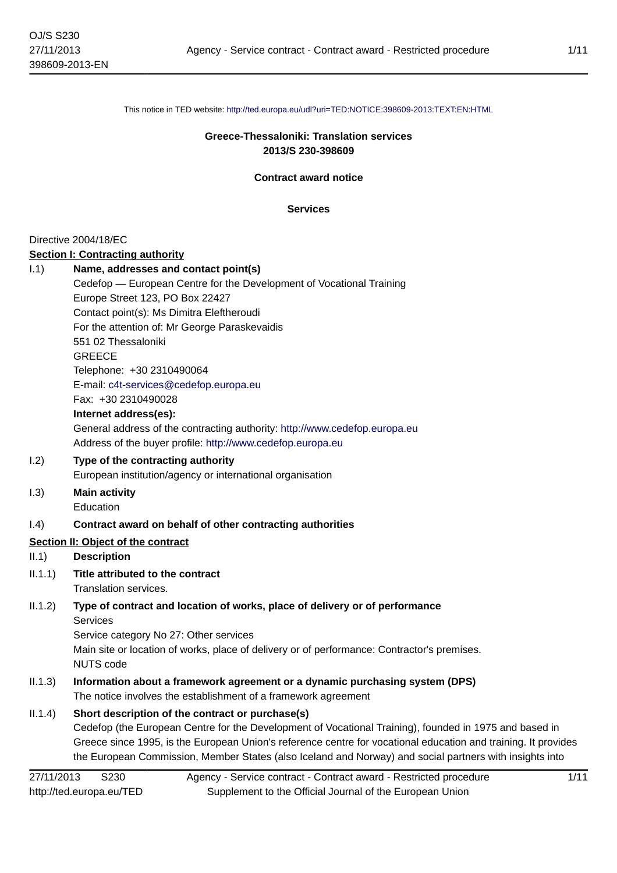This notice in TED website: <http://ted.europa.eu/udl?uri=TED:NOTICE:398609-2013:TEXT:EN:HTML>

#### **Greece-Thessaloniki: Translation services 2013/S 230-398609**

**Contract award notice**

**Services**

#### Directive 2004/18/EC

#### **Section I: Contracting authority**

| 1.1) | Name, addresses and contact point(s)                                       |
|------|----------------------------------------------------------------------------|
|      | Cedefop — European Centre for the Development of Vocational Training       |
|      | Europe Street 123, PO Box 22427                                            |
|      | Contact point(s): Ms Dimitra Eleftheroudi                                  |
|      | For the attention of: Mr George Paraskevaidis                              |
|      | 551 02 Thessaloniki                                                        |
|      | <b>GREECE</b>                                                              |
|      | Telephone: +30 2310490064                                                  |
|      | E-mail: c4t-services@cedefop.europa.eu                                     |
|      | Fax: +30 2310490028                                                        |
|      | Internet address(es):                                                      |
|      | General address of the contracting authority: http://www.cedefop.europa.eu |
|      | Address of the buyer profile: http://www.cedefop.europa.eu                 |
| 1.2) | Type of the contracting authority                                          |
|      | European institution/agency or international organisation                  |

- I.3) **Main activity**
	- Education

#### I.4) **Contract award on behalf of other contracting authorities**

#### **Section II: Object of the contract**

#### II.1) **Description**

- II.1.1) **Title attributed to the contract**
	- Translation services.

#### II.1.2) **Type of contract and location of works, place of delivery or of performance** Services

Service category No 27: Other services Main site or location of works, place of delivery or of performance: Contractor's premises. NUTS code

## II.1.3) **Information about a framework agreement or a dynamic purchasing system (DPS)** The notice involves the establishment of a framework agreement

#### II.1.4) **Short description of the contract or purchase(s)**

Cedefop (the European Centre for the Development of Vocational Training), founded in 1975 and based in Greece since 1995, is the European Union's reference centre for vocational education and training. It provides the European Commission, Member States (also Iceland and Norway) and social partners with insights into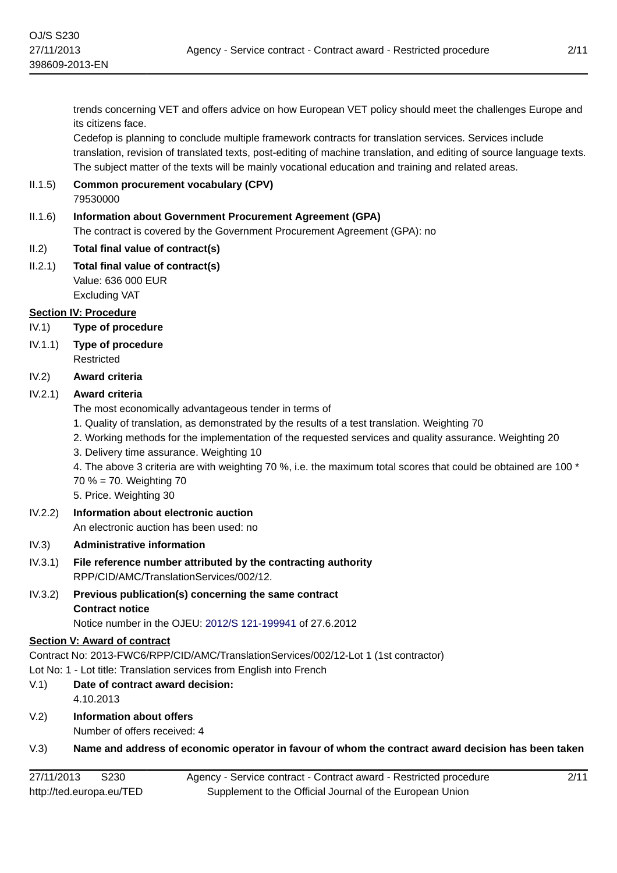trends concerning VET and offers advice on how European VET policy should meet the challenges Europe and its citizens face.

Cedefop is planning to conclude multiple framework contracts for translation services. Services include translation, revision of translated texts, post-editing of machine translation, and editing of source language texts. The subject matter of the texts will be mainly vocational education and training and related areas.

II.1.5) **Common procurement vocabulary (CPV)** 79530000

#### II.1.6) **Information about Government Procurement Agreement (GPA)** The contract is covered by the Government Procurement Agreement (GPA): no

#### II.2) **Total final value of contract(s)**

II.2.1) **Total final value of contract(s)** Value: 636 000 EUR Excluding VAT

## **Section IV: Procedure**

- IV.1) **Type of procedure**
- IV.1.1) **Type of procedure** Restricted

## IV.2) **Award criteria**

## IV.2.1) **Award criteria**

The most economically advantageous tender in terms of

- 1. Quality of translation, as demonstrated by the results of a test translation. Weighting 70
- 2. Working methods for the implementation of the requested services and quality assurance. Weighting 20
- 3. Delivery time assurance. Weighting 10

4. The above 3 criteria are with weighting 70 %, i.e. the maximum total scores that could be obtained are 100 \*

70 % = 70. Weighting 70

5. Price. Weighting 30

IV.2.2) **Information about electronic auction**

An electronic auction has been used: no

#### IV.3) **Administrative information**

- IV.3.1) **File reference number attributed by the contracting authority** RPP/CID/AMC/TranslationServices/002/12.
- IV.3.2) **Previous publication(s) concerning the same contract Contract notice**

Notice number in the OJEU: [2012/S 121-199941](http://ted.europa.eu/udl?uri=TED:NOTICE:199941-2012:TEXT:EN:HTML) of 27.6.2012

#### **Section V: Award of contract**

Contract No: 2013-FWC6/RPP/CID/AMC/TranslationServices/002/12-Lot 1 (1st contractor)

Lot No: 1 - Lot title: Translation services from English into French

- V.1) **Date of contract award decision:** 4.10.2013
- V.2) **Information about offers** Number of offers received: 4
- V.3) **Name and address of economic operator in favour of whom the contract award decision has been taken**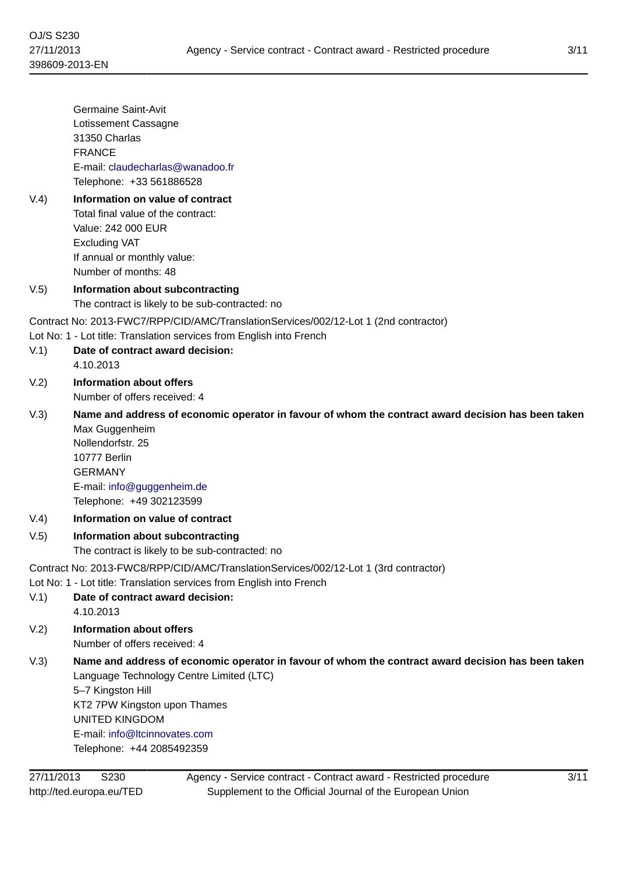| V.4)                                                                                 | Germaine Saint-Avit<br>Lotissement Cassagne<br>31350 Charlas<br><b>FRANCE</b><br>E-mail: claudecharlas@wanadoo.fr<br>Telephone: +33 561886528<br>Information on value of contract<br>Total final value of the contract:                                                                    |
|--------------------------------------------------------------------------------------|--------------------------------------------------------------------------------------------------------------------------------------------------------------------------------------------------------------------------------------------------------------------------------------------|
|                                                                                      | Value: 242 000 EUR<br><b>Excluding VAT</b><br>If annual or monthly value:<br>Number of months: 48                                                                                                                                                                                          |
| V.5)                                                                                 | Information about subcontracting<br>The contract is likely to be sub-contracted: no                                                                                                                                                                                                        |
| V.1)                                                                                 | Contract No: 2013-FWC7/RPP/CID/AMC/TranslationServices/002/12-Lot 1 (2nd contractor)<br>Lot No: 1 - Lot title: Translation services from English into French<br>Date of contract award decision:<br>4.10.2013                                                                              |
| V.2)                                                                                 | Information about offers<br>Number of offers received: 4                                                                                                                                                                                                                                   |
| V.3)                                                                                 | Name and address of economic operator in favour of whom the contract award decision has been taken<br>Max Guggenheim<br>Nollendorfstr. 25<br>10777 Berlin<br><b>GERMANY</b><br>E-mail: info@guggenheim.de<br>Telephone: +49 302123599                                                      |
| V.4)                                                                                 | Information on value of contract                                                                                                                                                                                                                                                           |
| V.5)                                                                                 | Information about subcontracting<br>The contract is likely to be sub-contracted: no                                                                                                                                                                                                        |
| Contract No: 2013-FWC8/RPP/CID/AMC/TranslationServices/002/12-Lot 1 (3rd contractor) |                                                                                                                                                                                                                                                                                            |
| V.1)                                                                                 | Lot No: 1 - Lot title: Translation services from English into French<br>Date of contract award decision:<br>4.10.2013                                                                                                                                                                      |
| V.2)                                                                                 | <b>Information about offers</b><br>Number of offers received: 4                                                                                                                                                                                                                            |
| V.3)                                                                                 | Name and address of economic operator in favour of whom the contract award decision has been taken<br>Language Technology Centre Limited (LTC)<br>5-7 Kingston Hill<br>KT2 7PW Kingston upon Thames<br><b>UNITED KINGDOM</b><br>E-mail: info@ltcinnovates.com<br>Telephone: +44 2085492359 |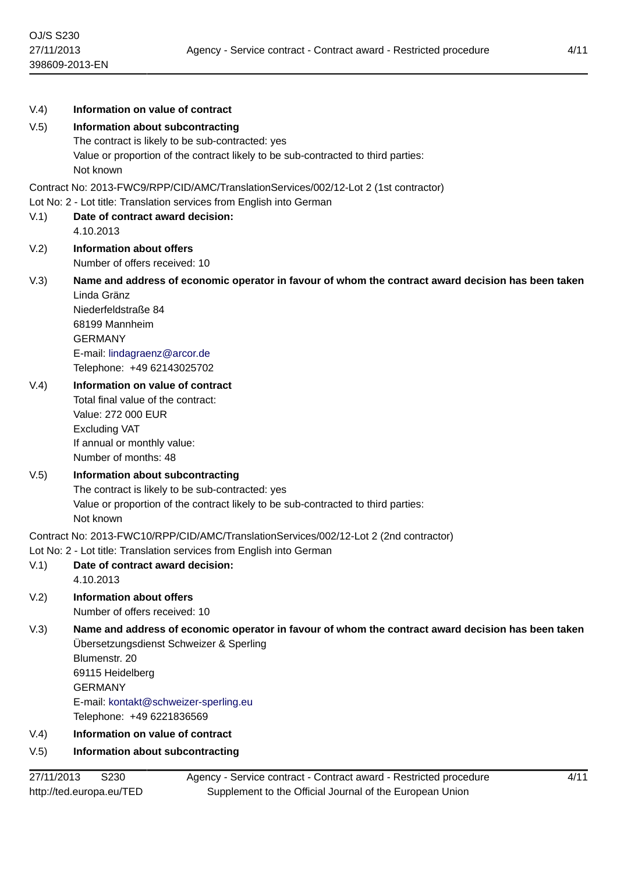| V.4) | Information on value of contract                                                                         |
|------|----------------------------------------------------------------------------------------------------------|
| V.5) | Information about subcontracting                                                                         |
|      | The contract is likely to be sub-contracted: yes                                                         |
|      | Value or proportion of the contract likely to be sub-contracted to third parties:<br>Not known           |
|      | Contract No: 2013-FWC9/RPP/CID/AMC/TranslationServices/002/12-Lot 2 (1st contractor)                     |
|      | Lot No: 2 - Lot title: Translation services from English into German                                     |
| V.1) | Date of contract award decision:                                                                         |
|      | 4.10.2013                                                                                                |
| V.2) | <b>Information about offers</b>                                                                          |
|      | Number of offers received: 10                                                                            |
| V.3) | Name and address of economic operator in favour of whom the contract award decision has been taken       |
|      | Linda Gränz<br>Niederfeldstraße 84                                                                       |
|      | 68199 Mannheim                                                                                           |
|      | <b>GERMANY</b>                                                                                           |
|      | E-mail: lindagraenz@arcor.de                                                                             |
|      | Telephone: +49 62143025702                                                                               |
| V.4) | Information on value of contract                                                                         |
|      | Total final value of the contract:                                                                       |
|      | Value: 272 000 EUR                                                                                       |
|      | <b>Excluding VAT</b><br>If annual or monthly value:                                                      |
|      | Number of months: 48                                                                                     |
| V.5) | Information about subcontracting                                                                         |
|      | The contract is likely to be sub-contracted: yes                                                         |
|      | Value or proportion of the contract likely to be sub-contracted to third parties:                        |
|      | Not known                                                                                                |
|      | Contract No: 2013-FWC10/RPP/CID/AMC/TranslationServices/002/12-Lot 2 (2nd contractor)                    |
|      | Lot No: 2 - Lot title: Translation services from English into German<br>Date of contract award decision: |
| V(1) | 4.10.2013                                                                                                |
| V.2) | <b>Information about offers</b>                                                                          |
|      | Number of offers received: 10                                                                            |
| V.3) | Name and address of economic operator in favour of whom the contract award decision has been taken       |
|      | Übersetzungsdienst Schweizer & Sperling                                                                  |
|      | Blumenstr, 20                                                                                            |
|      | 69115 Heidelberg<br><b>GERMANY</b>                                                                       |
|      | E-mail: kontakt@schweizer-sperling.eu                                                                    |
|      | Telephone: +49 6221836569                                                                                |
| V.4) | Information on value of contract                                                                         |
| V.5) | Information about subcontracting                                                                         |
|      |                                                                                                          |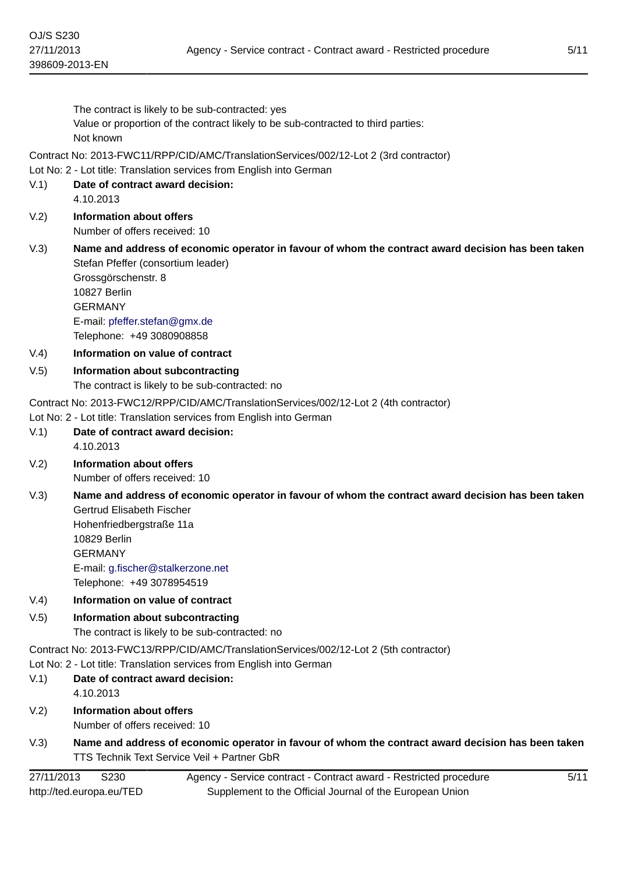$V.2$ 

Number of offers received: 10

- V.3) **Name and address of economic operator in favour of whom the contract award decision has been taken** Stefan Pfeffer (consortium leader) Grossgörschenstr. 8 10827 Berlin GERMANY E-mail: [pfeffer.stefan@gmx.de](mailto:pfeffer.stefan@gmx.de) Telephone: +49 3080908858
- V.4) **Information on value of contract**
- V.5) **Information about subcontracting** The contract is likely to be sub-contracted: no

Contract No: 2013-FWC12/RPP/CID/AMC/TranslationServices/002/12-Lot 2 (4th contractor)

- Lot No: 2 Lot title: Translation services from English into German
- V.1) **Date of contract award decision:** 4.10.2013
- V.2) **Information about offers** Number of offers received: 10
- V.3) **Name and address of economic operator in favour of whom the contract award decision has been taken** Gertrud Elisabeth Fischer Hohenfriedbergstraße 11a 10829 Berlin GERMANY E-mail: [g.fischer@stalkerzone.net](mailto:g.fischer@stalkerzone.net)

Telephone: +49 3078954519

- V.4) **Information on value of contract**
- V.5) **Information about subcontracting**

The contract is likely to be sub-contracted: no

Contract No: 2013-FWC13/RPP/CID/AMC/TranslationServices/002/12-Lot 2 (5th contractor)

Lot No: 2 - Lot title: Translation services from English into German

- V.1) **Date of contract award decision:** 4.10.2013
- V.2) **Information about offers** Number of offers received: 10
- V.3) **Name and address of economic operator in favour of whom the contract award decision has been taken** TTS Technik Text Service Veil + Partner GbR

| 27/11/2013<br>S <sub>230</sub> | Agency - Service contract - Contract award - Restricted procedure |
|--------------------------------|-------------------------------------------------------------------|
| http://ted.europa.eu/TED       | Supplement to the Official Journal of the European Union          |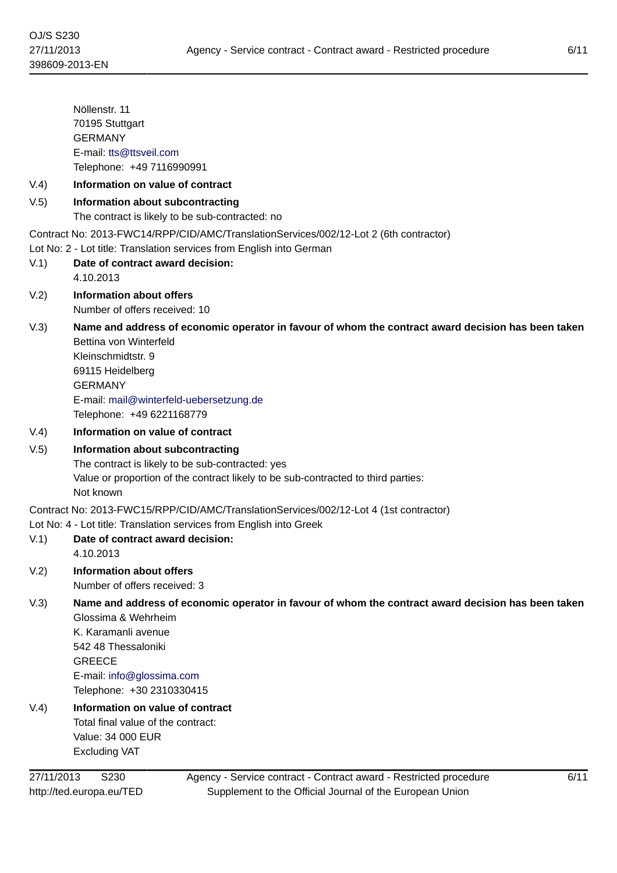Nöllenstr. 11 70195 Stuttgart GERMANY E-mail: [tts@ttsveil.com](mailto:tts@ttsveil.com) Telephone: +49 7116990991

# V.4) **Information on value of contract**

# V.5) **Information about subcontracting**

The contract is likely to be sub-contracted: no

Contract No: 2013-FWC14/RPP/CID/AMC/TranslationServices/002/12-Lot 2 (6th contractor)

Lot No: 2 - Lot title: Translation services from English into German

- V.1) **Date of contract award decision:** 4.10.2013
- V.2) **Information about offers**

Number of offers received: 10

V.3) **Name and address of economic operator in favour of whom the contract award decision has been taken** Bettina von Winterfeld

Kleinschmidtstr. 9 69115 Heidelberg GERMANY E-mail: [mail@winterfeld-uebersetzung.de](mailto:mail@winterfeld-uebersetzung.de) Telephone: +49 6221168779

#### V.4) **Information on value of contract**

V.5) **Information about subcontracting** The contract is likely to be sub-contracted: yes Value or proportion of the contract likely to be sub-contracted to third parties: Not known

Contract No: 2013-FWC15/RPP/CID/AMC/TranslationServices/002/12-Lot 4 (1st contractor)

#### Lot No: 4 - Lot title: Translation services from English into Greek

- V.1) **Date of contract award decision:** 4.10.2013
- V.2) **Information about offers** Number of offers received: 3

## V.3) **Name and address of economic operator in favour of whom the contract award decision has been taken** Glossima & Wehrheim

K. Karamanli avenue 542 48 Thessaloniki GREECE E-mail: [info@glossima.com](mailto:info@glossima.com) Telephone: +30 2310330415

V.4) **Information on value of contract** Total final value of the contract: Value: 34 000 EUR Excluding VAT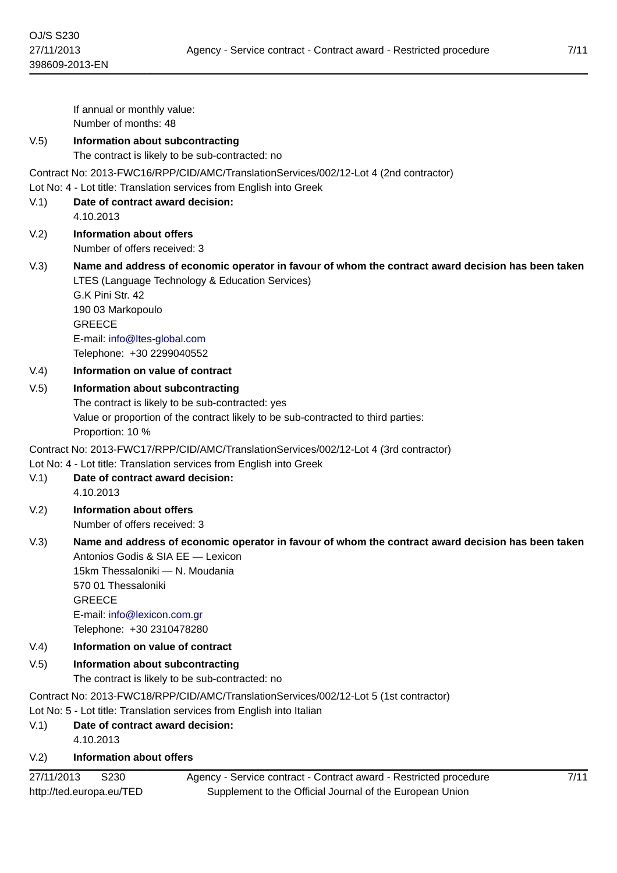If annual or monthly value: Number of months: 48 V.5) **Information about subcontracting** The contract is likely to be sub-contracted: no Contract No: 2013-FWC16/RPP/CID/AMC/TranslationServices/002/12-Lot 4 (2nd contractor) Lot No: 4 - Lot title: Translation services from English into Greek V.1) **Date of contract award decision:** 4.10.2013 V.2) **Information about offers** Number of offers received: 3 V.3) **Name and address of economic operator in favour of whom the contract award decision has been taken** LTES (Language Technology & Education Services) G.K Pini Str. 42 190 03 Markopoulo GREECE E-mail: [info@ltes-global.com](mailto:info@ltes-global.com) Telephone: +30 2299040552 V.4) **Information on value of contract** V.5) **Information about subcontracting** The contract is likely to be sub-contracted: yes Value or proportion of the contract likely to be sub-contracted to third parties: Proportion: 10 % Contract No: 2013-FWC17/RPP/CID/AMC/TranslationServices/002/12-Lot 4 (3rd contractor) Lot No: 4 - Lot title: Translation services from English into Greek V.1) **Date of contract award decision:** 4.10.2013 V.2) **Information about offers** Number of offers received: 3 V.3) **Name and address of economic operator in favour of whom the contract award decision has been taken** Antonios Godis & SIA EE — Lexicon 15km Thessaloniki — N. Moudania 570 01 Thessaloniki **GREECE** E-mail: [info@lexicon.com.gr](mailto:info@lexicon.com.gr) Telephone: +30 2310478280 V.4) **Information on value of contract** V.5) **Information about subcontracting** The contract is likely to be sub-contracted: no Contract No: 2013-FWC18/RPP/CID/AMC/TranslationServices/002/12-Lot 5 (1st contractor) Lot No: 5 - Lot title: Translation services from English into Italian V.1) **Date of contract award decision:**

4.10.2013

# V.2) **Information about offers**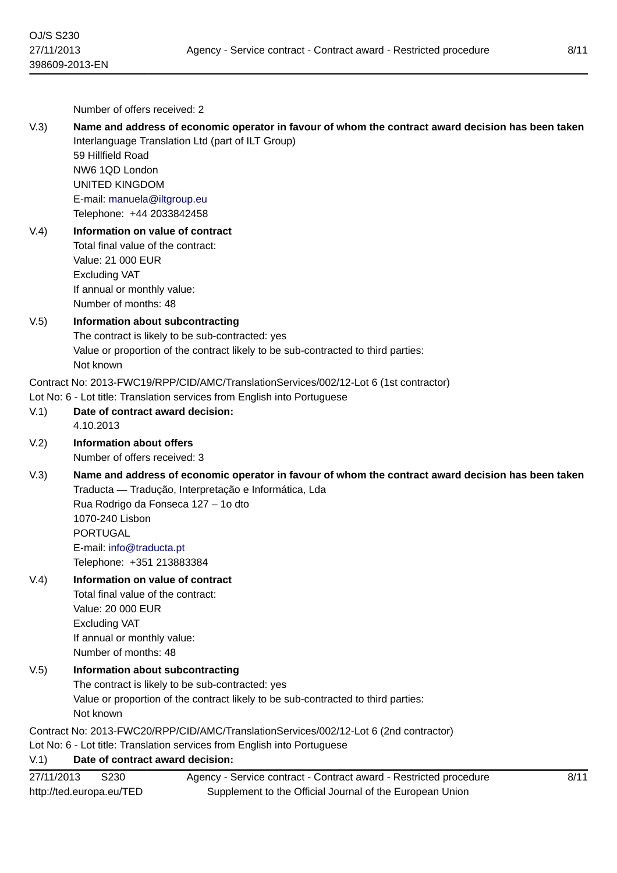Number of offers received: 2

#### V.3) **Name and address of economic operator in favour of whom the contract award decision has been taken** Interlanguage Translation Ltd (part of ILT Group)

59 Hillfield Road NW6 1QD London UNITED KINGDOM E-mail: [manuela@iltgroup.eu](mailto:manuela@iltgroup.eu) Telephone: +44 2033842458

## V.4) **Information on value of contract** Total final value of the contract: Value: 21 000 EUR Excluding VAT

If annual or monthly value: Number of months: 48

# V.5) **Information about subcontracting**

The contract is likely to be sub-contracted: yes Value or proportion of the contract likely to be sub-contracted to third parties: Not known

Contract No: 2013-FWC19/RPP/CID/AMC/TranslationServices/002/12-Lot 6 (1st contractor)

Lot No: 6 - Lot title: Translation services from English into Portuguese

- V.1) **Date of contract award decision:** 4.10.2013
- V.2) **Information about offers**

Number of offers received: 3

V.3) **Name and address of economic operator in favour of whom the contract award decision has been taken** Traducta — Tradução, Interpretação e Informática, Lda Rua Rodrigo da Fonseca 127 – 1o dto 1070-240 Lisbon PORTUGAL E-mail: [info@traducta.pt](mailto:info@traducta.pt)

Telephone: +351 213883384

#### V.4) **Information on value of contract**

Total final value of the contract: Value: 20 000 EUR Excluding VAT If annual or monthly value: Number of months: 48

#### V.5) **Information about subcontracting**

The contract is likely to be sub-contracted: yes Value or proportion of the contract likely to be sub-contracted to third parties: Not known

Contract No: 2013-FWC20/RPP/CID/AMC/TranslationServices/002/12-Lot 6 (2nd contractor)

Lot No: 6 - Lot title: Translation services from English into Portuguese

# V.1) **Date of contract award decision:**

| 27/11/2013               | S <sub>230</sub> | Agency - Service contract - Contract award - Restricted procedure |
|--------------------------|------------------|-------------------------------------------------------------------|
| http://ted.europa.eu/TED |                  | Supplement to the Official Journal of the European Union          |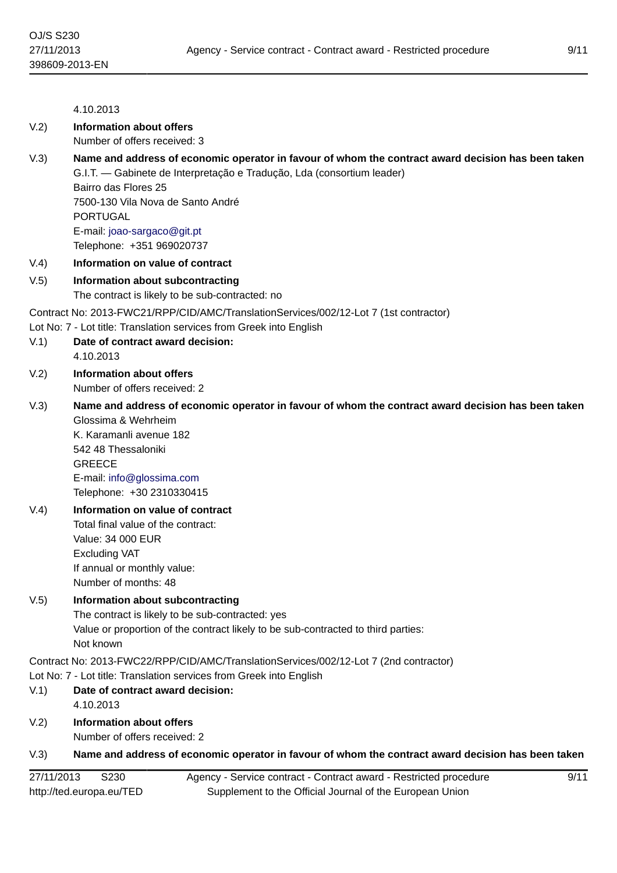# 4.10.2013 V.2) **Information about offers** Number of offers received: 3 V.3) **Name and address of economic operator in favour of whom the contract award decision has been taken** G.I.T. — Gabinete de Interpretação e Tradução, Lda (consortium leader) Bairro das Flores 25 7500-130 Vila Nova de Santo André PORTUGAL E-mail: [joao-sargaco@git.pt](mailto:joao-sargaco@git.pt) Telephone: +351 969020737 V.4) **Information on value of contract** V.5) **Information about subcontracting** The contract is likely to be sub-contracted: no Contract No: 2013-FWC21/RPP/CID/AMC/TranslationServices/002/12-Lot 7 (1st contractor) Lot No: 7 - Lot title: Translation services from Greek into English V.1) **Date of contract award decision:** 4.10.2013 V.2) **Information about offers** Number of offers received: 2 V.3) **Name and address of economic operator in favour of whom the contract award decision has been taken** Glossima & Wehrheim K. Karamanli avenue 182 542 48 Thessaloniki GREECE E-mail: [info@glossima.com](mailto:info@glossima.com) Telephone: +30 2310330415 V.4) **Information on value of contract** Total final value of the contract: Value: 34 000 EUR Excluding VAT If annual or monthly value: Number of months: 48 V.5) **Information about subcontracting** The contract is likely to be sub-contracted: yes Value or proportion of the contract likely to be sub-contracted to third parties: Not known Contract No: 2013-FWC22/RPP/CID/AMC/TranslationServices/002/12-Lot 7 (2nd contractor) Lot No: 7 - Lot title: Translation services from Greek into English V.1) **Date of contract award decision:** 4.10.2013 V.2) **Information about offers** Number of offers received: 2 V.3) **Name and address of economic operator in favour of whom the contract award decision has been taken**

| 27/11/2013<br>S230       | Agency - Service contract - Contract award - Restricted procedure |
|--------------------------|-------------------------------------------------------------------|
| http://ted.europa.eu/TED | Supplement to the Official Journal of the European Union          |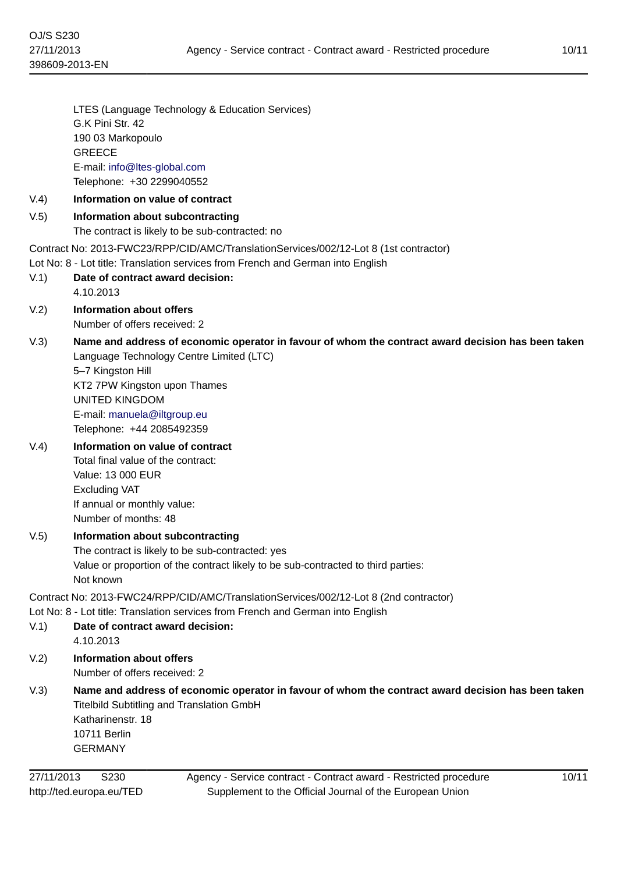LTES (Language Technology & Education Services) G.K Pini Str. 42 190 03 Markopoulo GREECE E-mail: [info@ltes-global.com](mailto:info@ltes-global.com) Telephone: +30 2299040552

## V.4) **Information on value of contract**

## V.5) **Information about subcontracting**

The contract is likely to be sub-contracted: no

Contract No: 2013-FWC23/RPP/CID/AMC/TranslationServices/002/12-Lot 8 (1st contractor)

Lot No: 8 - Lot title: Translation services from French and German into English

- V.1) **Date of contract award decision:** 4.10.2013
- V.2) **Information about offers** Number of offers received: 2
- V.3) **Name and address of economic operator in favour of whom the contract award decision has been taken** Language Technology Centre Limited (LTC)

5–7 Kingston Hill KT2 7PW Kingston upon Thames UNITED KINGDOM E-mail: [manuela@iltgroup.eu](mailto:manuela@iltgroup.eu) Telephone: +44 2085492359

# V.4) **Information on value of contract**

Total final value of the contract: Value: 13 000 EUR Excluding VAT If annual or monthly value: Number of months: 48

#### V.5) **Information about subcontracting**

The contract is likely to be sub-contracted: yes Value or proportion of the contract likely to be sub-contracted to third parties: Not known

Contract No: 2013-FWC24/RPP/CID/AMC/TranslationServices/002/12-Lot 8 (2nd contractor)

Lot No: 8 - Lot title: Translation services from French and German into English

- V.1) **Date of contract award decision:** 4.10.2013
- V.2) **Information about offers** Number of offers received: 2
- V.3) **Name and address of economic operator in favour of whom the contract award decision has been taken** Titelbild Subtitling and Translation GmbH Katharinenstr. 18 10711 Berlin

GERMANY